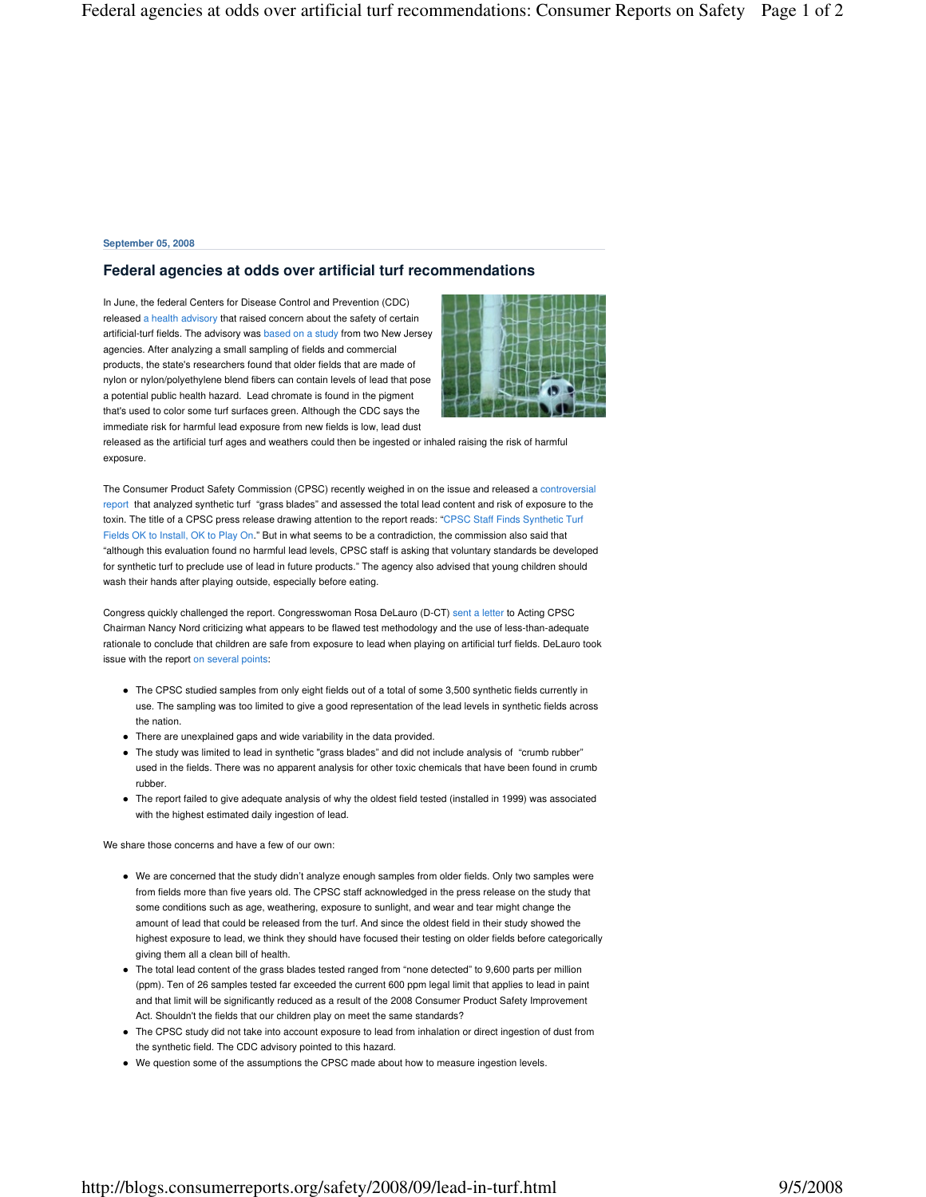## **September 05, 2008**

## **Federal agencies at odds over artificial turf recommendations**

In June, the federal Centers for Disease Control and Prevention (CDC) released a health advisory that raised concern about the safety of certain artificial-turf fields. The advisory was based on a study from two New Jersey agencies. After analyzing a small sampling of fields and commercial products, the state's researchers found that older fields that are made of nylon or nylon/polyethylene blend fibers can contain levels of lead that pose a potential public health hazard. Lead chromate is found in the pigment that's used to color some turf surfaces green. Although the CDC says the immediate risk for harmful lead exposure from new fields is low, lead dust



released as the artificial turf ages and weathers could then be ingested or inhaled raising the risk of harmful exposure.

The Consumer Product Safety Commission (CPSC) recently weighed in on the issue and released a controversial report that analyzed synthetic turf "grass blades" and assessed the total lead content and risk of exposure to the toxin. The title of a CPSC press release drawing attention to the report reads: "CPSC Staff Finds Synthetic Turf Fields OK to Install, OK to Play On." But in what seems to be a contradiction, the commission also said that "although this evaluation found no harmful lead levels, CPSC staff is asking that voluntary standards be developed for synthetic turf to preclude use of lead in future products." The agency also advised that young children should wash their hands after playing outside, especially before eating.

Congress quickly challenged the report. Congresswoman Rosa DeLauro (D-CT) sent a letter to Acting CPSC Chairman Nancy Nord criticizing what appears to be flawed test methodology and the use of less-than-adequate rationale to conclude that children are safe from exposure to lead when playing on artificial turf fields. DeLauro took issue with the report on several points:

- The CPSC studied samples from only eight fields out of a total of some 3,500 synthetic fields currently in use. The sampling was too limited to give a good representation of the lead levels in synthetic fields across the nation.
- There are unexplained gaps and wide variability in the data provided.
- The study was limited to lead in synthetic "grass blades" and did not include analysis of "crumb rubber" used in the fields. There was no apparent analysis for other toxic chemicals that have been found in crumb rubber.
- The report failed to give adequate analysis of why the oldest field tested (installed in 1999) was associated with the highest estimated daily ingestion of lead.

We share those concerns and have a few of our own:

- We are concerned that the study didn't analyze enough samples from older fields. Only two samples were from fields more than five years old. The CPSC staff acknowledged in the press release on the study that some conditions such as age, weathering, exposure to sunlight, and wear and tear might change the amount of lead that could be released from the turf. And since the oldest field in their study showed the highest exposure to lead, we think they should have focused their testing on older fields before categorically giving them all a clean bill of health.
- The total lead content of the grass blades tested ranged from "none detected" to 9,600 parts per million (ppm). Ten of 26 samples tested far exceeded the current 600 ppm legal limit that applies to lead in paint and that limit will be significantly reduced as a result of the 2008 Consumer Product Safety Improvement Act. Shouldn't the fields that our children play on meet the same standards?
- The CPSC study did not take into account exposure to lead from inhalation or direct ingestion of dust from the synthetic field. The CDC advisory pointed to this hazard.
- We question some of the assumptions the CPSC made about how to measure ingestion levels.